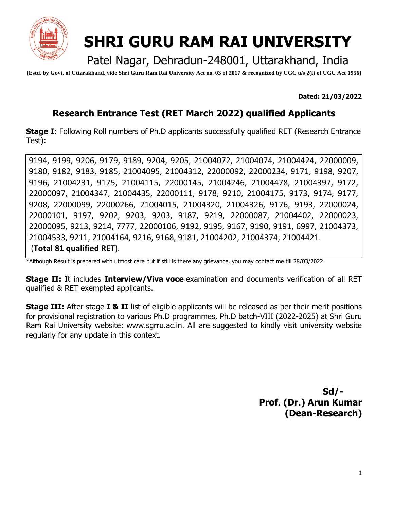

# **SHRI GURU RAM RAI UNIVERSITY**

Patel Nagar, Dehradun-248001, Uttarakhand, India

**[Estd. by Govt. of Uttarakhand, vide Shri Guru Ram Rai University Act no. 03 of 2017 & recognized by UGC u/s 2(f) of UGC Act 1956]**

**Dated: 21/03/2022**

### **Research Entrance Test (RET March 2022) qualified Applicants**

**Stage I:** Following Roll numbers of Ph.D applicants successfully qualified RET (Research Entrance Test):

9194, 9199, 9206, 9179, 9189, 9204, 9205, 21004072, 21004074, 21004424, 22000009, 9180, 9182, 9183, 9185, 21004095, 21004312, 22000092, 22000234, 9171, 9198, 9207, 9196, 21004231, 9175, 21004115, 22000145, 21004246, 21004478, 21004397, 9172, 22000097, 21004347, 21004435, 22000111, 9178, 9210, 21004175, 9173, 9174, 9177, 9208, 22000099, 22000266, 21004015, 21004320, 21004326, 9176, 9193, 22000024, 22000101, 9197, 9202, 9203, 9203, 9187, 9219, 22000087, 21004402, 22000023, 22000095, 9213, 9214, 7777, 22000106, 9192, 9195, 9167, 9190, 9191, 6997, 21004373, 21004533, 9211, 21004164, 9216, 9168, 9181, 21004202, 21004374, 21004421. (**Total 81 qualified RET**).

\*Although Result is prepared with utmost care but if still is there any grievance, you may contact me till 28/03/2022.

**Stage II:** It includes **Interview/Viva voce** examination and documents verification of all RET qualified & RET exempted applicants.

**Stage III:** After stage **I & II** list of eligible applicants will be released as per their merit positions for provisional registration to various Ph.D programmes, Ph.D batch-VIII (2022-2025) at Shri Guru Ram Rai University website: www.sgrru.ac.in. All are suggested to kindly visit university website regularly for any update in this context.

> **Sd/- Prof. (Dr.) Arun Kumar (Dean-Research)**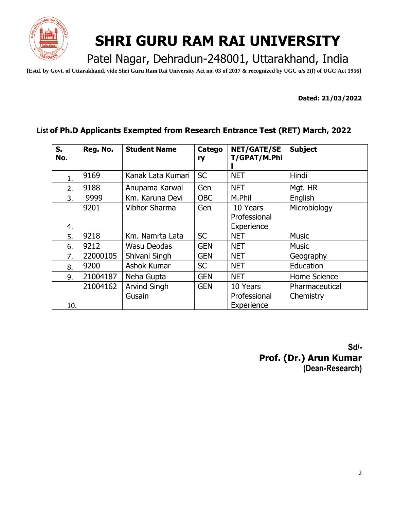

## **SHRI GURU RAM RAI UNIVERSITY**

Patel Nagar, Dehradun-248001, Uttarakhand, India

**[Estd. by Govt. of Uttarakhand, vide Shri Guru Ram Rai University Act no. 03 of 2017 & recognized by UGC u/s 2(f) of UGC Act 1956]**

**Dated: 21/03/2022**

#### **List of Ph.D Applicants Exempted from Research Entrance Test (RET) March, 2022**

| $S_{1}$<br>No. | Reg. No. | <b>Student Name</b>           | Catego<br>ry | <b>NET/GATE/SE</b><br>T/GPAT/M.Phi     | <b>Subject</b>              |
|----------------|----------|-------------------------------|--------------|----------------------------------------|-----------------------------|
| 1.             | 9169     | Kanak Lata Kumari             | <b>SC</b>    | <b>NET</b>                             | Hindi                       |
| 2.             | 9188     | Anupama Karwal                | Gen          | <b>NET</b>                             | Mgt. HR                     |
| 3.             | 9999     | Km. Karuna Devi               | <b>OBC</b>   | M.Phil                                 | English                     |
| 4.             | 9201     | Vibhor Sharma                 | Gen          | 10 Years<br>Professional<br>Experience | Microbiology                |
| 5.             | 9218     | Km. Namrta Lata               | <b>SC</b>    | <b>NET</b>                             | <b>Music</b>                |
| 6.             | 9212     | Wasu Deodas                   | <b>GEN</b>   | <b>NET</b>                             | <b>Music</b>                |
| 7.             | 22000105 | Shivani Singh                 | <b>GEN</b>   | <b>NET</b>                             | Geography                   |
| 8.             | 9200     | Ashok Kumar                   | <b>SC</b>    | <b>NET</b>                             | Education                   |
| 9.             | 21004187 | Neha Gupta                    | <b>GEN</b>   | <b>NET</b>                             | Home Science                |
| 10.            | 21004162 | <b>Arvind Singh</b><br>Gusain | <b>GEN</b>   | 10 Years<br>Professional<br>Experience | Pharmaceutical<br>Chemistry |

 **Sd/- Prof. (Dr.) Arun Kumar (Dean-Research)**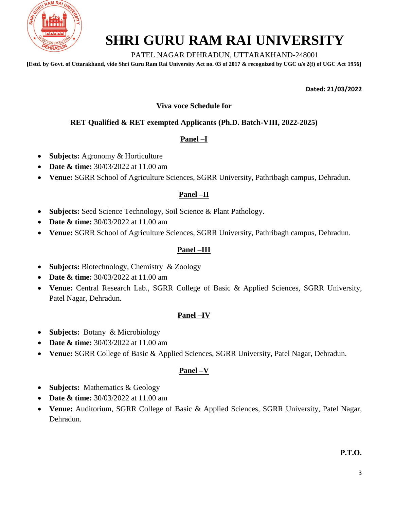

### **SHRI GURU RAM RAI UNIVERSITY**

#### PATEL NAGAR DEHRADUN, UTTARAKHAND-248001

**[Estd. by Govt. of Uttarakhand, vide Shri Guru Ram Rai University Act no. 03 of 2017 & recognized by UGC u/s 2(f) of UGC Act 1956]**

**Dated: 21/03/2022**

#### **Viva voce Schedule for**

#### **RET Qualified & RET exempted Applicants (Ph.D. Batch-VIII, 2022-2025)**

#### **Panel –I**

- **Subjects:** Agronomy & Horticulture
- **Date & time:**  $30/03/2022$  at 11.00 am
- **Venue:** SGRR School of Agriculture Sciences, SGRR University, Pathribagh campus, Dehradun.

#### **Panel –II**

- **Subjects:** Seed Science Technology, Soil Science & Plant Pathology.
- **Date & time:** 30/03/2022 at 11.00 am
- **Venue:** SGRR School of Agriculture Sciences, SGRR University, Pathribagh campus, Dehradun.

#### **Panel –III**

- **Subjects:** Biotechnology, Chemistry & Zoology
- **Date & time:** 30/03/2022 at 11.00 am
- **Venue:** Central Research Lab., SGRR College of Basic & Applied Sciences, SGRR University, Patel Nagar, Dehradun.

#### **Panel –IV**

- **Subjects:** Botany & Microbiology
- Date & time:  $30/03/2022$  at 11.00 am
- **Venue:** SGRR College of Basic & Applied Sciences, SGRR University, Patel Nagar, Dehradun.

#### **Panel –V**

- **Subjects:** Mathematics & Geology
- **Date & time:**  $30/03/2022$  at 11.00 am
- **Venue:** Auditorium, SGRR College of Basic & Applied Sciences, SGRR University, Patel Nagar, Dehradun.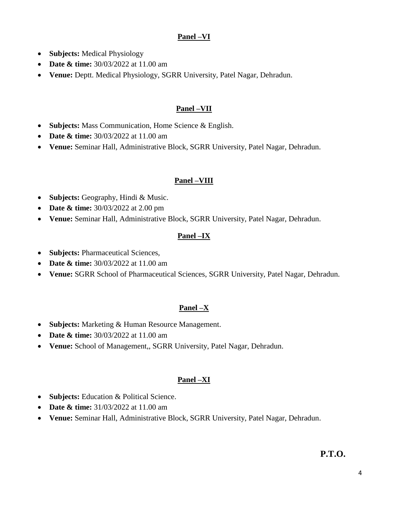#### **Panel –VI**

- **Subjects:** Medical Physiology
- **Date & time:**  $30/03/2022$  at 11.00 am
- **Venue:** Deptt. Medical Physiology, SGRR University, Patel Nagar, Dehradun.

#### **Panel –VII**

- **Subjects:** Mass Communication, Home Science & English.
- **Date & time:**  $30/03/2022$  at 11.00 am
- **Venue:** Seminar Hall, Administrative Block, SGRR University, Patel Nagar, Dehradun.

#### **Panel –VIII**

- **Subjects:** Geography, Hindi & Music.
- **Date & time:**  $30/03/2022$  at 2.00 pm
- **Venue:** Seminar Hall, Administrative Block, SGRR University, Patel Nagar, Dehradun.

#### **Panel –IX**

- **Subjects:** Pharmaceutical Sciences,
- **Date & time:** 30/03/2022 at 11.00 am
- **Venue:** SGRR School of Pharmaceutical Sciences, SGRR University, Patel Nagar, Dehradun.

#### **Panel –X**

- **Subjects:** Marketing & Human Resource Management.
- **Date & time:** 30/03/2022 at 11.00 am
- **Venue:** School of Management,, SGRR University, Patel Nagar, Dehradun.

#### **Panel –XI**

- **Subjects:** Education & Political Science.
- **Date & time:**  $31/03/2022$  at 11.00 am
- **Venue:** Seminar Hall, Administrative Block, SGRR University, Patel Nagar, Dehradun.

#### **P.T.O.**